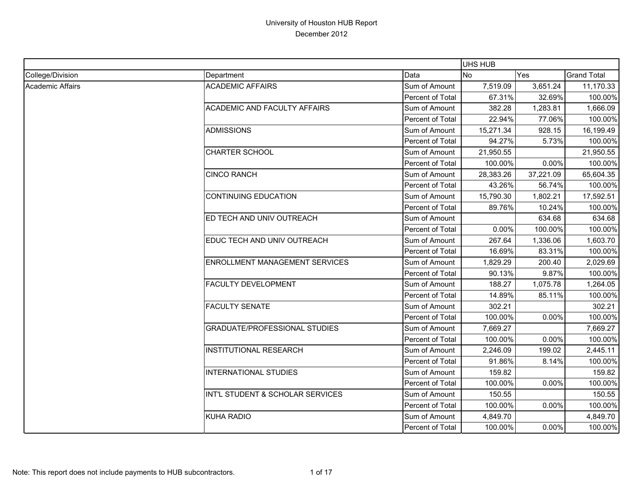|                  |                                      |                  | UHS HUB   |           |                    |
|------------------|--------------------------------------|------------------|-----------|-----------|--------------------|
| College/Division | Department                           | Data             | <b>No</b> | Yes       | <b>Grand Total</b> |
| Academic Affairs | <b>ACADEMIC AFFAIRS</b>              | Sum of Amount    | 7,519.09  | 3,651.24  | 11,170.33          |
|                  |                                      | Percent of Total | 67.31%    | 32.69%    | 100.00%            |
|                  | ACADEMIC AND FACULTY AFFAIRS         | Sum of Amount    | 382.28    | 1,283.81  | 1,666.09           |
|                  |                                      | Percent of Total | 22.94%    | 77.06%    | 100.00%            |
|                  | <b>ADMISSIONS</b>                    | Sum of Amount    | 15,271.34 | 928.15    | 16,199.49          |
|                  |                                      | Percent of Total | 94.27%    | 5.73%     | 100.00%            |
|                  | <b>CHARTER SCHOOL</b>                | Sum of Amount    | 21,950.55 |           | 21,950.55          |
|                  |                                      | Percent of Total | 100.00%   | 0.00%     | 100.00%            |
|                  | <b>CINCO RANCH</b>                   | Sum of Amount    | 28,383.26 | 37,221.09 | 65,604.35          |
|                  |                                      | Percent of Total | 43.26%    | 56.74%    | 100.00%            |
|                  | <b>CONTINUING EDUCATION</b>          | Sum of Amount    | 15,790.30 | 1,802.21  | 17,592.51          |
|                  |                                      | Percent of Total | 89.76%    | 10.24%    | 100.00%            |
|                  | ED TECH AND UNIV OUTREACH            | Sum of Amount    |           | 634.68    | 634.68             |
|                  |                                      | Percent of Total | 0.00%     | 100.00%   | 100.00%            |
|                  | EDUC TECH AND UNIV OUTREACH          | Sum of Amount    | 267.64    | 1,336.06  | 1,603.70           |
|                  |                                      | Percent of Total | 16.69%    | 83.31%    | 100.00%            |
|                  | ENROLLMENT MANAGEMENT SERVICES       | Sum of Amount    | 1,829.29  | 200.40    | 2,029.69           |
|                  |                                      | Percent of Total | 90.13%    | 9.87%     | 100.00%            |
|                  | FACULTY DEVELOPMENT                  | Sum of Amount    | 188.27    | 1,075.78  | 1,264.05           |
|                  |                                      | Percent of Total | 14.89%    | 85.11%    | 100.00%            |
|                  | <b>FACULTY SENATE</b>                | Sum of Amount    | 302.21    |           | 302.21             |
|                  |                                      | Percent of Total | 100.00%   | 0.00%     | 100.00%            |
|                  | <b>GRADUATE/PROFESSIONAL STUDIES</b> | Sum of Amount    | 7,669.27  |           | 7,669.27           |
|                  |                                      | Percent of Total | 100.00%   | 0.00%     | 100.00%            |
|                  | <b>INSTITUTIONAL RESEARCH</b>        | Sum of Amount    | 2,246.09  | 199.02    | 2,445.11           |
|                  |                                      | Percent of Total | 91.86%    | 8.14%     | 100.00%            |
|                  | <b>INTERNATIONAL STUDIES</b>         | Sum of Amount    | 159.82    |           | 159.82             |
|                  |                                      | Percent of Total | 100.00%   | $0.00\%$  | 100.00%            |
|                  | INT'L STUDENT & SCHOLAR SERVICES     | Sum of Amount    | 150.55    |           | 150.55             |
|                  |                                      | Percent of Total | 100.00%   | 0.00%     | 100.00%            |
|                  | <b>KUHA RADIO</b>                    | Sum of Amount    | 4,849.70  |           | 4,849.70           |
|                  |                                      | Percent of Total | 100.00%   | 0.00%     | 100.00%            |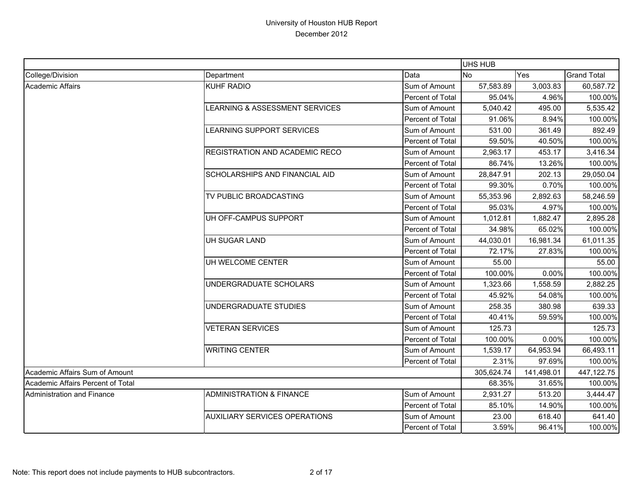|                                   |                                      |                         | UHS HUB    |            |                    |
|-----------------------------------|--------------------------------------|-------------------------|------------|------------|--------------------|
| College/Division                  | Department                           | Data                    | No         | Yes        | <b>Grand Total</b> |
| Academic Affairs                  | <b>KUHF RADIO</b>                    | Sum of Amount           | 57,583.89  | 3,003.83   | 60,587.72          |
|                                   |                                      | Percent of Total        | 95.04%     | 4.96%      | 100.00%            |
|                                   | LEARNING & ASSESSMENT SERVICES       | Sum of Amount           | 5,040.42   | 495.00     | 5,535.42           |
|                                   |                                      | Percent of Total        | 91.06%     | 8.94%      | 100.00%            |
|                                   | LEARNING SUPPORT SERVICES            | Sum of Amount           | 531.00     | 361.49     | 892.49             |
|                                   |                                      | Percent of Total        | 59.50%     | 40.50%     | 100.00%            |
|                                   | REGISTRATION AND ACADEMIC RECO       | Sum of Amount           | 2,963.17   | 453.17     | 3,416.34           |
|                                   |                                      | Percent of Total        | 86.74%     | 13.26%     | 100.00%            |
|                                   | SCHOLARSHIPS AND FINANCIAL AID       | Sum of Amount           | 28,847.91  | 202.13     | 29,050.04          |
|                                   |                                      | Percent of Total        | 99.30%     | 0.70%      | 100.00%            |
|                                   | TV PUBLIC BROADCASTING               | Sum of Amount           | 55,353.96  | 2,892.63   | 58,246.59          |
|                                   |                                      | <b>Percent of Total</b> | 95.03%     | 4.97%      | 100.00%            |
|                                   | UH OFF-CAMPUS SUPPORT                | Sum of Amount           | 1,012.81   | 1,882.47   | 2,895.28           |
|                                   |                                      | Percent of Total        | 34.98%     | 65.02%     | 100.00%            |
|                                   | UH SUGAR LAND                        | Sum of Amount           | 44,030.01  | 16,981.34  | 61,011.35          |
|                                   |                                      | Percent of Total        | 72.17%     | 27.83%     | 100.00%            |
|                                   | UH WELCOME CENTER                    | Sum of Amount           | 55.00      |            | 55.00              |
|                                   |                                      | Percent of Total        | 100.00%    | 0.00%      | 100.00%            |
|                                   | UNDERGRADUATE SCHOLARS               | Sum of Amount           | 1,323.66   | 1,558.59   | 2,882.25           |
|                                   |                                      | Percent of Total        | 45.92%     | 54.08%     | 100.00%            |
|                                   | UNDERGRADUATE STUDIES                | Sum of Amount           | 258.35     | 380.98     | 639.33             |
|                                   |                                      | Percent of Total        | 40.41%     | 59.59%     | 100.00%            |
|                                   | <b>VETERAN SERVICES</b>              | Sum of Amount           | 125.73     |            | 125.73             |
|                                   |                                      | Percent of Total        | 100.00%    | 0.00%      | 100.00%            |
|                                   | <b>WRITING CENTER</b>                | Sum of Amount           | 1,539.17   | 64,953.94  | 66,493.11          |
|                                   |                                      | Percent of Total        | 2.31%      | 97.69%     | 100.00%            |
| Academic Affairs Sum of Amount    |                                      |                         | 305,624.74 | 141,498.01 | 447,122.75         |
| Academic Affairs Percent of Total |                                      |                         | 68.35%     | 31.65%     | 100.00%            |
| Administration and Finance        | <b>ADMINISTRATION &amp; FINANCE</b>  | Sum of Amount           | 2,931.27   | 513.20     | 3,444.47           |
|                                   |                                      | Percent of Total        | 85.10%     | 14.90%     | 100.00%            |
|                                   | <b>AUXILIARY SERVICES OPERATIONS</b> | Sum of Amount           | 23.00      | 618.40     | 641.40             |
|                                   |                                      | Percent of Total        | 3.59%      | 96.41%     | 100.00%            |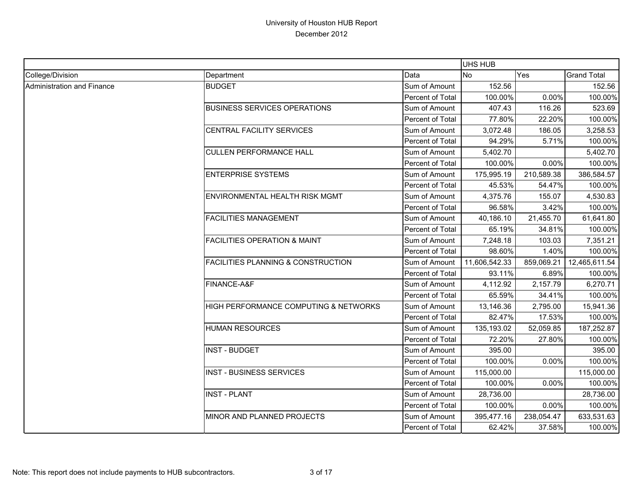|                            |                                               |                  | <b>UHS HUB</b> |            |                    |
|----------------------------|-----------------------------------------------|------------------|----------------|------------|--------------------|
| College/Division           | Department                                    | Data             | <b>No</b>      | Yes        | <b>Grand Total</b> |
| Administration and Finance | <b>BUDGET</b>                                 | Sum of Amount    | 152.56         |            | 152.56             |
|                            |                                               | Percent of Total | 100.00%        | 0.00%      | 100.00%            |
|                            | <b>BUSINESS SERVICES OPERATIONS</b>           | Sum of Amount    | 407.43         | 116.26     | 523.69             |
|                            |                                               | Percent of Total | 77.80%         | 22.20%     | 100.00%            |
|                            | CENTRAL FACILITY SERVICES                     | Sum of Amount    | 3,072.48       | 186.05     | 3,258.53           |
|                            |                                               | Percent of Total | 94.29%         | 5.71%      | 100.00%            |
|                            | <b>CULLEN PERFORMANCE HALL</b>                | Sum of Amount    | 5,402.70       |            | 5,402.70           |
|                            |                                               | Percent of Total | 100.00%        | 0.00%      | 100.00%            |
|                            | <b>ENTERPRISE SYSTEMS</b>                     | Sum of Amount    | 175,995.19     | 210,589.38 | 386,584.57         |
|                            |                                               | Percent of Total | 45.53%         | 54.47%     | 100.00%            |
|                            | ENVIRONMENTAL HEALTH RISK MGMT                | Sum of Amount    | 4,375.76       | 155.07     | 4,530.83           |
|                            |                                               | Percent of Total | 96.58%         | 3.42%      | 100.00%            |
|                            | <b>FACILITIES MANAGEMENT</b>                  | Sum of Amount    | 40,186.10      | 21,455.70  | 61,641.80          |
|                            |                                               | Percent of Total | 65.19%         | 34.81%     | 100.00%            |
|                            | <b>FACILITIES OPERATION &amp; MAINT</b>       | Sum of Amount    | 7,248.18       | 103.03     | 7,351.21           |
|                            |                                               | Percent of Total | 98.60%         | 1.40%      | 100.00%            |
|                            | <b>FACILITIES PLANNING &amp; CONSTRUCTION</b> | Sum of Amount    | 11,606,542.33  | 859,069.21 | 12,465,611.54      |
|                            |                                               | Percent of Total | 93.11%         | 6.89%      | 100.00%            |
|                            | FINANCE-A&F                                   | Sum of Amount    | 4,112.92       | 2,157.79   | 6,270.71           |
|                            |                                               | Percent of Total | 65.59%         | 34.41%     | 100.00%            |
|                            | HIGH PERFORMANCE COMPUTING & NETWORKS         | Sum of Amount    | 13,146.36      | 2,795.00   | 15,941.36          |
|                            |                                               | Percent of Total | 82.47%         | 17.53%     | 100.00%            |
|                            | <b>HUMAN RESOURCES</b>                        | Sum of Amount    | 135,193.02     | 52,059.85  | 187,252.87         |
|                            |                                               | Percent of Total | 72.20%         | 27.80%     | 100.00%            |
|                            | <b>INST - BUDGET</b>                          | Sum of Amount    | 395.00         |            | 395.00             |
|                            |                                               | Percent of Total | 100.00%        | 0.00%      | 100.00%            |
|                            | <b>INST - BUSINESS SERVICES</b>               | Sum of Amount    | 115,000.00     |            | 115,000.00         |
|                            |                                               | Percent of Total | 100.00%        | 0.00%      | 100.00%            |
|                            | <b>INST - PLANT</b>                           | Sum of Amount    | 28,736.00      |            | 28,736.00          |
|                            |                                               | Percent of Total | 100.00%        | 0.00%      | 100.00%            |
|                            | MINOR AND PLANNED PROJECTS                    | Sum of Amount    | 395,477.16     | 238,054.47 | 633,531.63         |
|                            |                                               | Percent of Total | 62.42%         | 37.58%     | 100.00%            |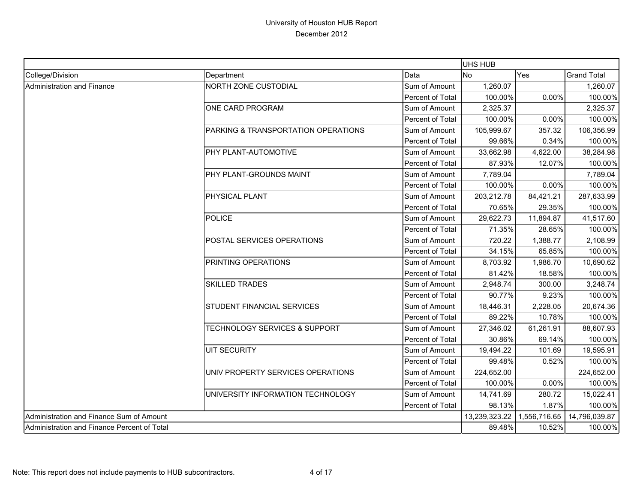|                                             |                                          |                         | <b>UHS HUB</b> |              |                    |
|---------------------------------------------|------------------------------------------|-------------------------|----------------|--------------|--------------------|
| College/Division                            | Department                               | Data                    | <b>No</b>      | Yes          | <b>Grand Total</b> |
| Administration and Finance                  | <b>NORTH ZONE CUSTODIAL</b>              | Sum of Amount           | 1,260.07       |              | 1,260.07           |
|                                             |                                          | Percent of Total        | 100.00%        | 0.00%        | 100.00%            |
|                                             | ONE CARD PROGRAM                         | Sum of Amount           | 2,325.37       |              | 2,325.37           |
|                                             |                                          | <b>Percent of Total</b> | 100.00%        | 0.00%        | 100.00%            |
|                                             | PARKING & TRANSPORTATION OPERATIONS      | Sum of Amount           | 105,999.67     | 357.32       | 106,356.99         |
|                                             |                                          | Percent of Total        | 99.66%         | 0.34%        | 100.00%            |
|                                             | PHY PLANT-AUTOMOTIVE                     | Sum of Amount           | 33,662.98      | 4,622.00     | 38,284.98          |
|                                             |                                          | Percent of Total        | 87.93%         | 12.07%       | 100.00%            |
|                                             | PHY PLANT-GROUNDS MAINT                  | Sum of Amount           | 7,789.04       |              | 7,789.04           |
|                                             |                                          | Percent of Total        | 100.00%        | 0.00%        | 100.00%            |
|                                             | PHYSICAL PLANT                           | Sum of Amount           | 203,212.78     | 84,421.21    | 287,633.99         |
|                                             |                                          | <b>Percent of Total</b> | 70.65%         | 29.35%       | 100.00%            |
|                                             | <b>POLICE</b>                            | Sum of Amount           | 29,622.73      | 11,894.87    | 41,517.60          |
|                                             |                                          | Percent of Total        | 71.35%         | 28.65%       | 100.00%            |
|                                             | POSTAL SERVICES OPERATIONS               | Sum of Amount           | 720.22         | 1,388.77     | 2,108.99           |
|                                             |                                          | Percent of Total        | 34.15%         | 65.85%       | 100.00%            |
|                                             | PRINTING OPERATIONS                      | Sum of Amount           | 8,703.92       | 1,986.70     | 10,690.62          |
|                                             |                                          | Percent of Total        | 81.42%         | 18.58%       | 100.00%            |
|                                             | <b>SKILLED TRADES</b>                    | Sum of Amount           | 2,948.74       | 300.00       | 3,248.74           |
|                                             |                                          | Percent of Total        | 90.77%         | 9.23%        | 100.00%            |
|                                             | STUDENT FINANCIAL SERVICES               | Sum of Amount           | 18,446.31      | 2,228.05     | 20,674.36          |
|                                             |                                          | Percent of Total        | 89.22%         | 10.78%       | 100.00%            |
|                                             | <b>TECHNOLOGY SERVICES &amp; SUPPORT</b> | Sum of Amount           | 27,346.02      | 61,261.91    | 88,607.93          |
|                                             |                                          | Percent of Total        | 30.86%         | 69.14%       | 100.00%            |
|                                             | <b>UIT SECURITY</b>                      | Sum of Amount           | 19,494.22      | 101.69       | 19,595.91          |
|                                             |                                          | <b>Percent of Total</b> | 99.48%         | 0.52%        | 100.00%            |
|                                             | UNIV PROPERTY SERVICES OPERATIONS        | Sum of Amount           | 224,652.00     |              | 224,652.00         |
|                                             |                                          | Percent of Total        | 100.00%        | 0.00%        | 100.00%            |
|                                             | UNIVERSITY INFORMATION TECHNOLOGY        | Sum of Amount           | 14,741.69      | 280.72       | 15,022.41          |
|                                             |                                          | Percent of Total        | 98.13%         | 1.87%        | 100.00%            |
| Administration and Finance Sum of Amount    |                                          |                         | 13,239,323.22  | 1,556,716.65 | 14,796,039.87      |
| Administration and Finance Percent of Total |                                          |                         | 89.48%         | 10.52%       | 100.00%            |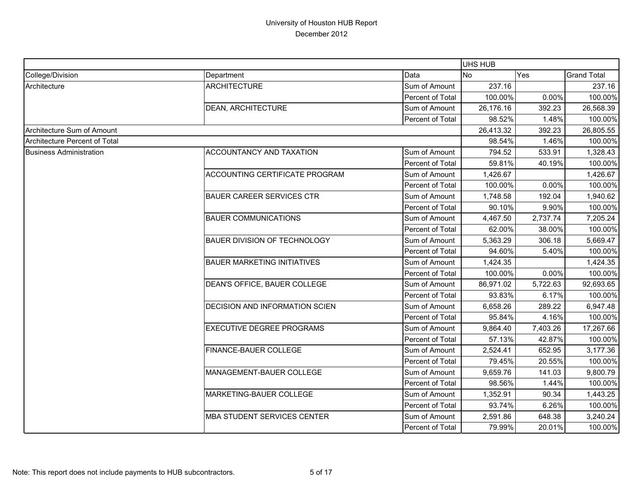|                                      |                                    |                  | UHS HUB   |          |                    |
|--------------------------------------|------------------------------------|------------------|-----------|----------|--------------------|
| College/Division                     | Department                         | Data             | <b>No</b> | Yes      | <b>Grand Total</b> |
| Architecture                         | <b>ARCHITECTURE</b>                | Sum of Amount    | 237.16    |          | 237.16             |
|                                      |                                    | Percent of Total | 100.00%   | 0.00%    | 100.00%            |
|                                      | DEAN, ARCHITECTURE                 | Sum of Amount    | 26,176.16 | 392.23   | 26,568.39          |
|                                      |                                    | Percent of Total | 98.52%    | 1.48%    | 100.00%            |
| Architecture Sum of Amount           |                                    |                  | 26,413.32 | 392.23   | 26,805.55          |
| <b>Architecture Percent of Total</b> |                                    |                  | 98.54%    | 1.46%    | 100.00%            |
| <b>Business Administration</b>       | ACCOUNTANCY AND TAXATION           | Sum of Amount    | 794.52    | 533.91   | 1,328.43           |
|                                      |                                    | Percent of Total | 59.81%    | 40.19%   | 100.00%            |
|                                      | ACCOUNTING CERTIFICATE PROGRAM     | Sum of Amount    | 1,426.67  |          | 1,426.67           |
|                                      |                                    | Percent of Total | 100.00%   | 0.00%    | 100.00%            |
|                                      | <b>BAUER CAREER SERVICES CTR</b>   | Sum of Amount    | 1,748.58  | 192.04   | 1,940.62           |
|                                      |                                    | Percent of Total | 90.10%    | 9.90%    | 100.00%            |
|                                      | <b>BAUER COMMUNICATIONS</b>        | Sum of Amount    | 4,467.50  | 2,737.74 | 7,205.24           |
|                                      |                                    | Percent of Total | 62.00%    | 38.00%   | 100.00%            |
|                                      | BAUER DIVISION OF TECHNOLOGY       | Sum of Amount    | 5,363.29  | 306.18   | 5,669.47           |
|                                      |                                    | Percent of Total | 94.60%    | 5.40%    | 100.00%            |
|                                      | <b>BAUER MARKETING INITIATIVES</b> | Sum of Amount    | 1,424.35  |          | 1,424.35           |
|                                      |                                    | Percent of Total | 100.00%   | 0.00%    | 100.00%            |
|                                      | DEAN'S OFFICE, BAUER COLLEGE       | Sum of Amount    | 86,971.02 | 5,722.63 | 92,693.65          |
|                                      |                                    | Percent of Total | 93.83%    | 6.17%    | 100.00%            |
|                                      | DECISION AND INFORMATION SCIEN     | Sum of Amount    | 6,658.26  | 289.22   | 6,947.48           |
|                                      |                                    | Percent of Total | 95.84%    | 4.16%    | 100.00%            |
|                                      | <b>EXECUTIVE DEGREE PROGRAMS</b>   | Sum of Amount    | 9,864.40  | 7,403.26 | 17,267.66          |
|                                      |                                    | Percent of Total | 57.13%    | 42.87%   | 100.00%            |
|                                      | FINANCE-BAUER COLLEGE              | Sum of Amount    | 2,524.41  | 652.95   | 3,177.36           |
|                                      |                                    | Percent of Total | 79.45%    | 20.55%   | 100.00%            |
|                                      | MANAGEMENT-BAUER COLLEGE           | Sum of Amount    | 9,659.76  | 141.03   | 9,800.79           |
|                                      |                                    | Percent of Total | 98.56%    | 1.44%    | 100.00%            |
|                                      | MARKETING-BAUER COLLEGE            | Sum of Amount    | 1,352.91  | 90.34    | 1,443.25           |
|                                      |                                    | Percent of Total | 93.74%    | 6.26%    | 100.00%            |
|                                      | <b>MBA STUDENT SERVICES CENTER</b> | Sum of Amount    | 2,591.86  | 648.38   | 3,240.24           |
|                                      |                                    | Percent of Total | 79.99%    | 20.01%   | 100.00%            |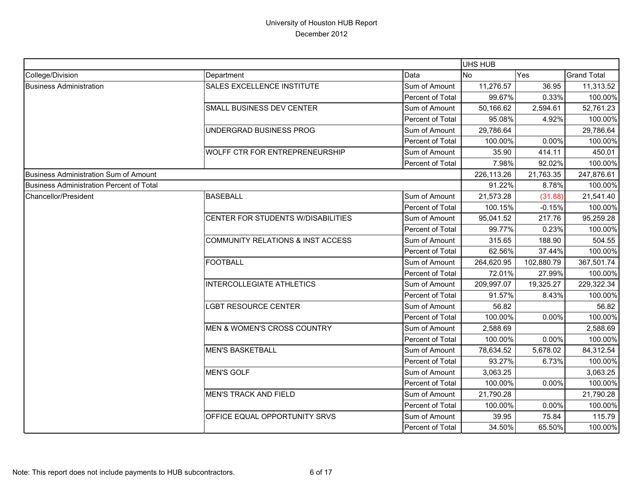|                                          |                                              |                  | <b>UHS HUB</b> |            |                    |
|------------------------------------------|----------------------------------------------|------------------|----------------|------------|--------------------|
| College/Division                         | Department                                   | Data             | <b>No</b>      | Yes        | <b>Grand Total</b> |
| <b>Business Administration</b>           | <b>SALES EXCELLENCE INSTITUTE</b>            | Sum of Amount    | 11,276.57      | 36.95      | 11,313.52          |
|                                          |                                              | Percent of Total | 99.67%         | 0.33%      | 100.00%            |
|                                          | SMALL BUSINESS DEV CENTER                    | Sum of Amount    | 50,166.62      | 2,594.61   | 52,761.23          |
|                                          |                                              | Percent of Total | 95.08%         | 4.92%      | 100.00%            |
|                                          | UNDERGRAD BUSINESS PROG                      | Sum of Amount    | 29,786.64      |            | 29,786.64          |
|                                          |                                              | Percent of Total | 100.00%        | 0.00%      | 100.00%            |
|                                          | WOLFF CTR FOR ENTREPRENEURSHIP               | Sum of Amount    | 35.90          | 414.11     | 450.01             |
|                                          |                                              | Percent of Total | 7.98%          | 92.02%     | 100.00%            |
| Business Administration Sum of Amount    |                                              |                  | 226,113.26     | 21,763.35  | 247,876.61         |
| Business Administration Percent of Total |                                              |                  | 91.22%         | 8.78%      | 100.00%            |
| Chancellor/President                     | <b>BASEBALL</b>                              | Sum of Amount    | 21,573.28      | (31.88)    | 21,541.40          |
|                                          |                                              | Percent of Total | 100.15%        | $-0.15%$   | 100.00%            |
|                                          | CENTER FOR STUDENTS W/DISABILITIES           | Sum of Amount    | 95,041.52      | 217.76     | 95,259.28          |
|                                          |                                              | Percent of Total | 99.77%         | 0.23%      | 100.00%            |
|                                          | <b>COMMUNITY RELATIONS &amp; INST ACCESS</b> | Sum of Amount    | 315.65         | 188.90     | 504.55             |
|                                          |                                              | Percent of Total | 62.56%         | 37.44%     | 100.00%            |
|                                          | <b>FOOTBALL</b>                              | Sum of Amount    | 264,620.95     | 102,880.79 | 367,501.74         |
|                                          |                                              | Percent of Total | 72.01%         | 27.99%     | 100.00%            |
|                                          | <b>INTERCOLLEGIATE ATHLETICS</b>             | Sum of Amount    | 209,997.07     | 19,325.27  | 229,322.34         |
|                                          |                                              | Percent of Total | 91.57%         | 8.43%      | 100.00%            |
|                                          | <b>LGBT RESOURCE CENTER</b>                  | Sum of Amount    | 56.82          |            | 56.82              |
|                                          |                                              | Percent of Total | 100.00%        | 0.00%      | 100.00%            |
|                                          | MEN & WOMEN'S CROSS COUNTRY                  | Sum of Amount    | 2,588.69       |            | 2,588.69           |
|                                          |                                              | Percent of Total | 100.00%        | 0.00%      | 100.00%            |
|                                          | <b>MEN'S BASKETBALL</b>                      | Sum of Amount    | 78,634.52      | 5,678.02   | 84,312.54          |
|                                          |                                              | Percent of Total | 93.27%         | 6.73%      | 100.00%            |
|                                          | <b>MEN'S GOLF</b>                            | Sum of Amount    | 3,063.25       |            | 3,063.25           |
|                                          |                                              | Percent of Total | 100.00%        | 0.00%      | 100.00%            |
|                                          | <b>MEN'S TRACK AND FIELD</b>                 | Sum of Amount    | 21,790.28      |            | 21,790.28          |
|                                          |                                              | Percent of Total | 100.00%        | 0.00%      | 100.00%            |
|                                          | OFFICE EQUAL OPPORTUNITY SRVS                | Sum of Amount    | 39.95          | 75.84      | 115.79             |
|                                          |                                              | Percent of Total | 34.50%         | 65.50%     | 100.00%            |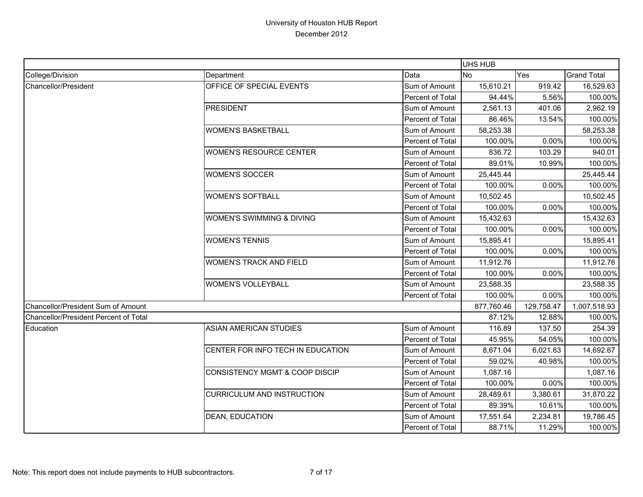|                                       |                                   |                  | UHS HUB    |            |                    |
|---------------------------------------|-----------------------------------|------------------|------------|------------|--------------------|
| College/Division                      | Department                        | Data             | <b>No</b>  | Yes        | <b>Grand Total</b> |
| Chancellor/President                  | OFFICE OF SPECIAL EVENTS          | Sum of Amount    | 15,610.21  | 919.42     | 16,529.63          |
|                                       |                                   | Percent of Total | 94.44%     | 5.56%      | 100.00%            |
|                                       | <b>PRESIDENT</b>                  | Sum of Amount    | 2,561.13   | 401.06     | 2,962.19           |
|                                       |                                   | Percent of Total | 86.46%     | 13.54%     | 100.00%            |
|                                       | <b>WOMEN'S BASKETBALL</b>         | Sum of Amount    | 58,253.38  |            | 58,253.38          |
|                                       |                                   | Percent of Total | 100.00%    | 0.00%      | 100.00%            |
|                                       | <b>WOMEN'S RESOURCE CENTER</b>    | Sum of Amount    | 836.72     | 103.29     | 940.01             |
|                                       |                                   | Percent of Total | 89.01%     | 10.99%     | 100.00%            |
|                                       | <b>WOMEN'S SOCCER</b>             | Sum of Amount    | 25,445.44  |            | 25,445.44          |
|                                       |                                   | Percent of Total | 100.00%    | 0.00%      | 100.00%            |
|                                       | <b>WOMEN'S SOFTBALL</b>           | Sum of Amount    | 10,502.45  |            | 10,502.45          |
|                                       |                                   | Percent of Total | 100.00%    | 0.00%      | 100.00%            |
|                                       | WOMEN'S SWIMMING & DIVING         | Sum of Amount    | 15,432.63  |            | 15,432.63          |
|                                       |                                   | Percent of Total | 100.00%    | 0.00%      | 100.00%            |
|                                       | <b>WOMEN'S TENNIS</b>             | Sum of Amount    | 15,895.41  |            | 15,895.41          |
|                                       |                                   | Percent of Total | 100.00%    | 0.00%      | 100.00%            |
|                                       | <b>WOMEN'S TRACK AND FIELD</b>    | Sum of Amount    | 11,912.76  |            | 11,912.76          |
|                                       |                                   | Percent of Total | 100.00%    | 0.00%      | 100.00%            |
|                                       | WOMEN'S VOLLEYBALL                | Sum of Amount    | 23,588.35  |            | 23,588.35          |
|                                       |                                   | Percent of Total | 100.00%    | 0.00%      | 100.00%            |
| Chancellor/President Sum of Amount    |                                   |                  | 877,760.46 | 129,758.47 | 1,007,518.93       |
| Chancellor/President Percent of Total |                                   |                  | 87.12%     | 12.88%     | 100.00%            |
| Education                             | <b>ASIAN AMERICAN STUDIES</b>     | Sum of Amount    | 116.89     | 137.50     | 254.39             |
|                                       |                                   | Percent of Total | 45.95%     | 54.05%     | 100.00%            |
|                                       | CENTER FOR INFO TECH IN EDUCATION | Sum of Amount    | 8,671.04   | 6,021.63   | 14,692.67          |
|                                       |                                   | Percent of Total | 59.02%     | 40.98%     | 100.00%            |
|                                       | CONSISTENCY MGMT & COOP DISCIP    | Sum of Amount    | 1,087.16   |            | 1,087.16           |
|                                       |                                   | Percent of Total | 100.00%    | 0.00%      | 100.00%            |
|                                       | <b>CURRICULUM AND INSTRUCTION</b> | Sum of Amount    | 28,489.61  | 3,380.61   | 31,870.22          |
|                                       |                                   | Percent of Total | 89.39%     | 10.61%     | 100.00%            |
|                                       | <b>DEAN, EDUCATION</b>            | Sum of Amount    | 17,551.64  | 2,234.81   | 19,786.45          |
|                                       |                                   | Percent of Total | 88.71%     | 11.29%     | 100.00%            |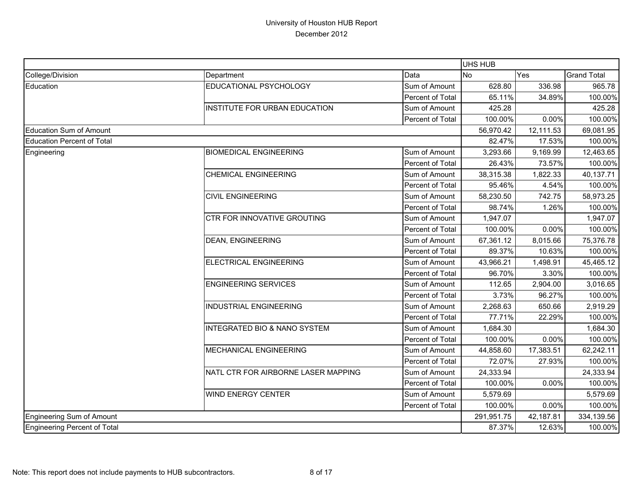|                                     |                                         |                  | UHS HUB    |           |                    |
|-------------------------------------|-----------------------------------------|------------------|------------|-----------|--------------------|
| College/Division                    | Department                              | Data             | <b>No</b>  | Yes       | <b>Grand Total</b> |
| Education                           | EDUCATIONAL PSYCHOLOGY                  | Sum of Amount    | 628.80     | 336.98    | 965.78             |
|                                     |                                         | Percent of Total | 65.11%     | 34.89%    | 100.00%            |
|                                     | INSTITUTE FOR URBAN EDUCATION           | Sum of Amount    | 425.28     |           | 425.28             |
|                                     |                                         | Percent of Total | 100.00%    | 0.00%     | 100.00%            |
| <b>Education Sum of Amount</b>      |                                         |                  | 56,970.42  | 12,111.53 | 69,081.95          |
| <b>Education Percent of Total</b>   |                                         |                  | 82.47%     | 17.53%    | 100.00%            |
| Engineering                         | <b>BIOMEDICAL ENGINEERING</b>           | Sum of Amount    | 3,293.66   | 9,169.99  | 12,463.65          |
|                                     |                                         | Percent of Total | 26.43%     | 73.57%    | 100.00%            |
|                                     | <b>CHEMICAL ENGINEERING</b>             | Sum of Amount    | 38,315.38  | 1,822.33  | 40,137.71          |
|                                     |                                         | Percent of Total | 95.46%     | 4.54%     | 100.00%            |
|                                     | <b>CIVIL ENGINEERING</b>                | Sum of Amount    | 58,230.50  | 742.75    | 58,973.25          |
|                                     |                                         | Percent of Total | 98.74%     | 1.26%     | 100.00%            |
|                                     | <b>CTR FOR INNOVATIVE GROUTING</b>      | Sum of Amount    | 1,947.07   |           | 1,947.07           |
|                                     |                                         | Percent of Total | 100.00%    | 0.00%     | 100.00%            |
|                                     | <b>DEAN, ENGINEERING</b>                | Sum of Amount    | 67,361.12  | 8,015.66  | 75,376.78          |
|                                     |                                         | Percent of Total | 89.37%     | 10.63%    | 100.00%            |
|                                     | ELECTRICAL ENGINEERING                  | Sum of Amount    | 43,966.21  | 1,498.91  | 45,465.12          |
|                                     |                                         | Percent of Total | 96.70%     | 3.30%     | 100.00%            |
|                                     | <b>ENGINEERING SERVICES</b>             | Sum of Amount    | 112.65     | 2,904.00  | 3,016.65           |
|                                     |                                         | Percent of Total | 3.73%      | 96.27%    | 100.00%            |
|                                     | <b>INDUSTRIAL ENGINEERING</b>           | Sum of Amount    | 2,268.63   | 650.66    | 2,919.29           |
|                                     |                                         | Percent of Total | 77.71%     | 22.29%    | 100.00%            |
|                                     | <b>INTEGRATED BIO &amp; NANO SYSTEM</b> | Sum of Amount    | 1,684.30   |           | 1,684.30           |
|                                     |                                         | Percent of Total | 100.00%    | 0.00%     | 100.00%            |
|                                     | <b>MECHANICAL ENGINEERING</b>           | Sum of Amount    | 44,858.60  | 17,383.51 | 62,242.11          |
|                                     |                                         | Percent of Total | 72.07%     | 27.93%    | 100.00%            |
|                                     | NATL CTR FOR AIRBORNE LASER MAPPING     | Sum of Amount    | 24,333.94  |           | 24,333.94          |
|                                     |                                         | Percent of Total | 100.00%    | 0.00%     | 100.00%            |
|                                     | <b>WIND ENERGY CENTER</b>               | Sum of Amount    | 5,579.69   |           | 5,579.69           |
|                                     |                                         | Percent of Total | 100.00%    | 0.00%     | 100.00%            |
| <b>Engineering Sum of Amount</b>    |                                         |                  | 291,951.75 | 42,187.81 | 334,139.56         |
| <b>Engineering Percent of Total</b> |                                         |                  | 87.37%     | 12.63%    | 100.00%            |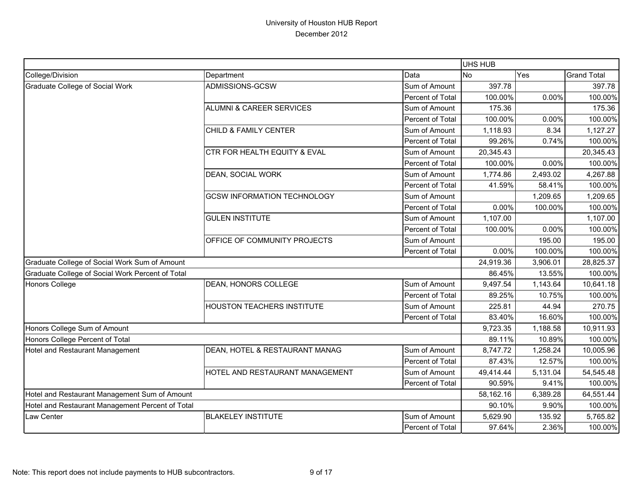|                                                  |                                     |                  | UHS HUB   |           |                    |
|--------------------------------------------------|-------------------------------------|------------------|-----------|-----------|--------------------|
| College/Division                                 | Department                          | Data             | <b>No</b> | Yes       | <b>Grand Total</b> |
| Graduate College of Social Work                  | ADMISSIONS-GCSW                     | Sum of Amount    | 397.78    |           | 397.78             |
|                                                  |                                     | Percent of Total | 100.00%   | 0.00%     | 100.00%            |
|                                                  | <b>ALUMNI &amp; CAREER SERVICES</b> | Sum of Amount    | 175.36    |           | 175.36             |
|                                                  |                                     | Percent of Total | 100.00%   | 0.00%     | 100.00%            |
|                                                  | CHILD & FAMILY CENTER               | Sum of Amount    | 1,118.93  | 8.34      | 1,127.27           |
|                                                  |                                     | Percent of Total | 99.26%    | 0.74%     | 100.00%            |
|                                                  | CTR FOR HEALTH EQUITY & EVAL        | Sum of Amount    | 20,345.43 |           | 20,345.43          |
|                                                  |                                     | Percent of Total | 100.00%   | 0.00%     | 100.00%            |
|                                                  | DEAN, SOCIAL WORK                   | Sum of Amount    | 1,774.86  | 2,493.02  | 4,267.88           |
|                                                  |                                     | Percent of Total | 41.59%    | 58.41%    | 100.00%            |
|                                                  | <b>GCSW INFORMATION TECHNOLOGY</b>  | Sum of Amount    |           | 1,209.65  | 1,209.65           |
|                                                  |                                     | Percent of Total | 0.00%     | 100.00%   | 100.00%            |
|                                                  | <b>GULEN INSTITUTE</b>              | Sum of Amount    | 1,107.00  |           | 1,107.00           |
|                                                  |                                     | Percent of Total | 100.00%   | 0.00%     | 100.00%            |
|                                                  | OFFICE OF COMMUNITY PROJECTS        | Sum of Amount    |           | 195.00    | 195.00             |
|                                                  |                                     | Percent of Total | 0.00%     | 100.00%   | 100.00%            |
| Graduate College of Social Work Sum of Amount    |                                     |                  | 24,919.36 | 3,906.01  | 28,825.37          |
| Graduate College of Social Work Percent of Total |                                     |                  | 86.45%    | 13.55%    | 100.00%            |
| Honors College                                   | DEAN, HONORS COLLEGE                | Sum of Amount    | 9,497.54  | 1,143.64  | 10,641.18          |
|                                                  |                                     | Percent of Total | 89.25%    | 10.75%    | 100.00%            |
|                                                  | <b>HOUSTON TEACHERS INSTITUTE</b>   | Sum of Amount    | 225.81    | 44.94     | 270.75             |
|                                                  |                                     | Percent of Total | 83.40%    | 16.60%    | 100.00%            |
| Honors College Sum of Amount                     |                                     |                  | 9,723.35  | 1,188.58  | 10,911.93          |
| Honors College Percent of Total                  |                                     |                  | 89.11%    | 10.89%    | 100.00%            |
| Hotel and Restaurant Management                  | DEAN, HOTEL & RESTAURANT MANAG      | Sum of Amount    | 8,747.72  | 1,258.24  | 10,005.96          |
|                                                  |                                     | Percent of Total | 87.43%    | 12.57%    | 100.00%            |
|                                                  | HOTEL AND RESTAURANT MANAGEMENT     | Sum of Amount    | 49,414.44 | 5,131.04  | 54,545.48          |
|                                                  |                                     | Percent of Total | 90.59%    | 9.41%     | 100.00%            |
| Hotel and Restaurant Management Sum of Amount    |                                     | 58,162.16        | 6,389.28  | 64,551.44 |                    |
| Hotel and Restaurant Management Percent of Total |                                     |                  | 90.10%    | 9.90%     | 100.00%            |
| Law Center                                       | <b>BLAKELEY INSTITUTE</b>           | Sum of Amount    | 5,629.90  | 135.92    | 5,765.82           |
|                                                  |                                     | Percent of Total | 97.64%    | 2.36%     | 100.00%            |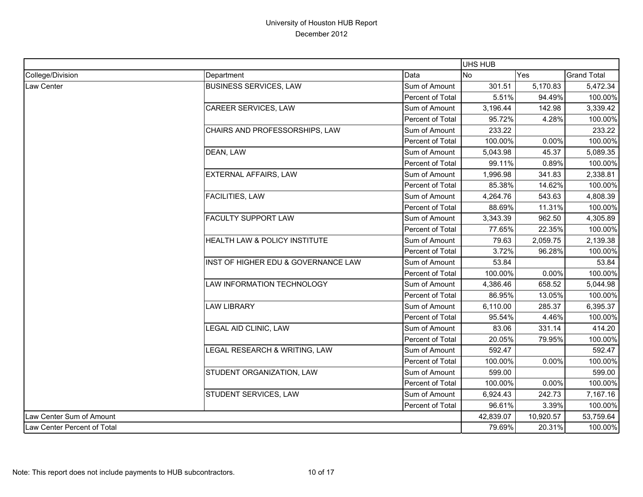|                             |                                     |                  | UHS HUB   |           |                    |
|-----------------------------|-------------------------------------|------------------|-----------|-----------|--------------------|
| College/Division            | Department                          | Data             | <b>No</b> | Yes       | <b>Grand Total</b> |
| Law Center                  | <b>BUSINESS SERVICES, LAW</b>       | Sum of Amount    | 301.51    | 5,170.83  | 5,472.34           |
|                             |                                     | Percent of Total | 5.51%     | 94.49%    | 100.00%            |
|                             | CAREER SERVICES, LAW                | Sum of Amount    | 3,196.44  | 142.98    | 3,339.42           |
|                             |                                     | Percent of Total | 95.72%    | 4.28%     | 100.00%            |
|                             | CHAIRS AND PROFESSORSHIPS, LAW      | Sum of Amount    | 233.22    |           | 233.22             |
|                             |                                     | Percent of Total | 100.00%   | 0.00%     | 100.00%            |
|                             | DEAN, LAW                           | Sum of Amount    | 5,043.98  | 45.37     | 5,089.35           |
|                             |                                     | Percent of Total | 99.11%    | 0.89%     | 100.00%            |
|                             | <b>EXTERNAL AFFAIRS, LAW</b>        | Sum of Amount    | 1,996.98  | 341.83    | 2,338.81           |
|                             |                                     | Percent of Total | 85.38%    | 14.62%    | 100.00%            |
|                             | <b>FACILITIES, LAW</b>              | Sum of Amount    | 4,264.76  | 543.63    | 4,808.39           |
|                             |                                     | Percent of Total | 88.69%    | 11.31%    | 100.00%            |
|                             | <b>FACULTY SUPPORT LAW</b>          | Sum of Amount    | 3,343.39  | 962.50    | 4,305.89           |
|                             |                                     | Percent of Total | 77.65%    | 22.35%    | 100.00%            |
|                             | HEALTH LAW & POLICY INSTITUTE       | Sum of Amount    | 79.63     | 2,059.75  | 2,139.38           |
|                             |                                     | Percent of Total | 3.72%     | 96.28%    | 100.00%            |
|                             | INST OF HIGHER EDU & GOVERNANCE LAW | Sum of Amount    | 53.84     |           | 53.84              |
|                             |                                     | Percent of Total | 100.00%   | 0.00%     | 100.00%            |
|                             | LAW INFORMATION TECHNOLOGY          | Sum of Amount    | 4,386.46  | 658.52    | 5,044.98           |
|                             |                                     | Percent of Total | 86.95%    | 13.05%    | 100.00%            |
|                             | <b>LAW LIBRARY</b>                  | Sum of Amount    | 6,110.00  | 285.37    | 6,395.37           |
|                             |                                     | Percent of Total | 95.54%    | 4.46%     | 100.00%            |
|                             | LEGAL AID CLINIC, LAW               | Sum of Amount    | 83.06     | 331.14    | 414.20             |
|                             |                                     | Percent of Total | 20.05%    | 79.95%    | 100.00%            |
|                             | LEGAL RESEARCH & WRITING, LAW       | Sum of Amount    | 592.47    |           | 592.47             |
|                             |                                     | Percent of Total | 100.00%   | 0.00%     | 100.00%            |
|                             | STUDENT ORGANIZATION, LAW           | Sum of Amount    | 599.00    |           | 599.00             |
|                             |                                     | Percent of Total | 100.00%   | 0.00%     | 100.00%            |
|                             | STUDENT SERVICES, LAW               | Sum of Amount    | 6,924.43  | 242.73    | 7,167.16           |
|                             |                                     | Percent of Total | 96.61%    | 3.39%     | 100.00%            |
| Law Center Sum of Amount    |                                     |                  | 42,839.07 | 10,920.57 | 53,759.64          |
| Law Center Percent of Total |                                     |                  | 79.69%    | 20.31%    | 100.00%            |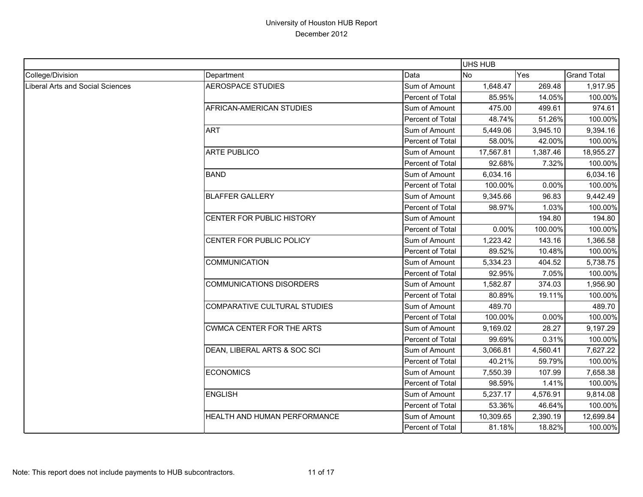|                                         |                                  |                  | UHS HUB   |          |                    |
|-----------------------------------------|----------------------------------|------------------|-----------|----------|--------------------|
| College/Division                        | Department                       | Data             | No        | Yes      | <b>Grand Total</b> |
| <b>Liberal Arts and Social Sciences</b> | <b>AEROSPACE STUDIES</b>         | Sum of Amount    | 1,648.47  | 269.48   | 1,917.95           |
|                                         |                                  | Percent of Total | 85.95%    | 14.05%   | 100.00%            |
|                                         | AFRICAN-AMERICAN STUDIES         | Sum of Amount    | 475.00    | 499.61   | 974.61             |
|                                         |                                  | Percent of Total | 48.74%    | 51.26%   | 100.00%            |
|                                         | <b>ART</b>                       | Sum of Amount    | 5,449.06  | 3,945.10 | 9,394.16           |
|                                         |                                  | Percent of Total | 58.00%    | 42.00%   | 100.00%            |
|                                         | <b>ARTE PUBLICO</b>              | Sum of Amount    | 17,567.81 | 1,387.46 | 18,955.27          |
|                                         |                                  | Percent of Total | 92.68%    | 7.32%    | 100.00%            |
|                                         | <b>BAND</b>                      | Sum of Amount    | 6,034.16  |          | 6,034.16           |
|                                         |                                  | Percent of Total | 100.00%   | 0.00%    | 100.00%            |
|                                         | <b>BLAFFER GALLERY</b>           | Sum of Amount    | 9,345.66  | 96.83    | 9,442.49           |
|                                         |                                  | Percent of Total | 98.97%    | 1.03%    | 100.00%            |
|                                         | CENTER FOR PUBLIC HISTORY        | Sum of Amount    |           | 194.80   | 194.80             |
|                                         |                                  | Percent of Total | 0.00%     | 100.00%  | 100.00%            |
|                                         | CENTER FOR PUBLIC POLICY         | Sum of Amount    | 1,223.42  | 143.16   | 1,366.58           |
|                                         |                                  | Percent of Total | 89.52%    | 10.48%   | 100.00%            |
|                                         | <b>COMMUNICATION</b>             | Sum of Amount    | 5,334.23  | 404.52   | 5,738.75           |
|                                         |                                  | Percent of Total | 92.95%    | 7.05%    | 100.00%            |
|                                         | <b>COMMUNICATIONS DISORDERS</b>  | Sum of Amount    | 1,582.87  | 374.03   | 1,956.90           |
|                                         |                                  | Percent of Total | 80.89%    | 19.11%   | 100.00%            |
|                                         | COMPARATIVE CULTURAL STUDIES     | Sum of Amount    | 489.70    |          | 489.70             |
|                                         |                                  | Percent of Total | 100.00%   | 0.00%    | 100.00%            |
|                                         | <b>CWMCA CENTER FOR THE ARTS</b> | Sum of Amount    | 9,169.02  | 28.27    | 9,197.29           |
|                                         |                                  | Percent of Total | 99.69%    | 0.31%    | 100.00%            |
|                                         | DEAN, LIBERAL ARTS & SOC SCI     | Sum of Amount    | 3,066.81  | 4,560.41 | 7,627.22           |
|                                         |                                  | Percent of Total | 40.21%    | 59.79%   | 100.00%            |
|                                         | <b>ECONOMICS</b>                 | Sum of Amount    | 7,550.39  | 107.99   | 7,658.38           |
|                                         |                                  | Percent of Total | 98.59%    | 1.41%    | 100.00%            |
|                                         | <b>ENGLISH</b>                   | Sum of Amount    | 5,237.17  | 4,576.91 | 9,814.08           |
|                                         |                                  | Percent of Total | 53.36%    | 46.64%   | 100.00%            |
|                                         | HEALTH AND HUMAN PERFORMANCE     | Sum of Amount    | 10,309.65 | 2,390.19 | 12,699.84          |
|                                         |                                  | Percent of Total | 81.18%    | 18.82%   | 100.00%            |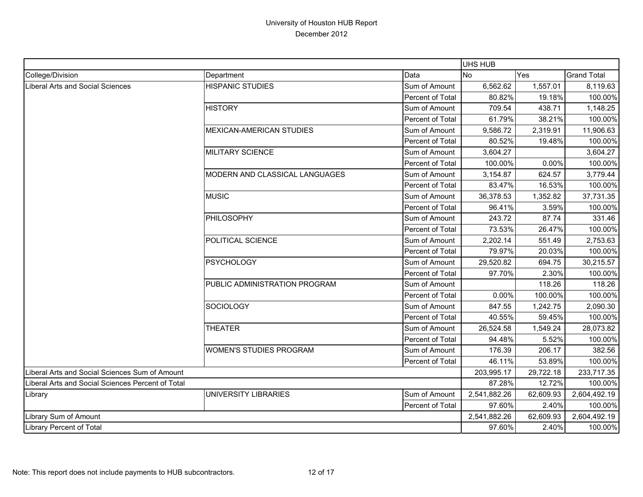|                                                   |                                 |                  | UHS HUB      |           |                    |
|---------------------------------------------------|---------------------------------|------------------|--------------|-----------|--------------------|
| College/Division                                  | Department                      | Data             | <b>No</b>    | Yes       | <b>Grand Total</b> |
| <b>Liberal Arts and Social Sciences</b>           | <b>HISPANIC STUDIES</b>         | Sum of Amount    | 6,562.62     | 1,557.01  | 8,119.63           |
|                                                   |                                 | Percent of Total | 80.82%       | 19.18%    | 100.00%            |
|                                                   | <b>HISTORY</b>                  | Sum of Amount    | 709.54       | 438.71    | 1,148.25           |
|                                                   |                                 | Percent of Total | 61.79%       | 38.21%    | 100.00%            |
|                                                   | <b>MEXICAN-AMERICAN STUDIES</b> | Sum of Amount    | 9,586.72     | 2,319.91  | 11,906.63          |
|                                                   |                                 | Percent of Total | 80.52%       | 19.48%    | 100.00%            |
|                                                   | <b>MILITARY SCIENCE</b>         | Sum of Amount    | 3,604.27     |           | 3,604.27           |
|                                                   |                                 | Percent of Total | 100.00%      | 0.00%     | 100.00%            |
|                                                   | MODERN AND CLASSICAL LANGUAGES  | Sum of Amount    | 3,154.87     | 624.57    | 3,779.44           |
|                                                   |                                 | Percent of Total | 83.47%       | 16.53%    | 100.00%            |
|                                                   | <b>MUSIC</b>                    | Sum of Amount    | 36,378.53    | 1,352.82  | 37,731.35          |
|                                                   |                                 | Percent of Total | 96.41%       | 3.59%     | 100.00%            |
|                                                   | PHILOSOPHY<br>Sum of Amount     | 243.72           | 87.74        | 331.46    |                    |
|                                                   |                                 | Percent of Total | 73.53%       | 26.47%    | 100.00%            |
|                                                   | POLITICAL SCIENCE               | Sum of Amount    | 2,202.14     | 551.49    | 2,753.63           |
|                                                   |                                 | Percent of Total | 79.97%       | 20.03%    | 100.00%            |
|                                                   | <b>PSYCHOLOGY</b>               | Sum of Amount    | 29,520.82    | 694.75    | 30,215.57          |
|                                                   |                                 | Percent of Total | 97.70%       | 2.30%     | 100.00%            |
|                                                   | PUBLIC ADMINISTRATION PROGRAM   | Sum of Amount    |              | 118.26    | 118.26             |
|                                                   |                                 | Percent of Total | 0.00%        | 100.00%   | 100.00%            |
|                                                   | <b>SOCIOLOGY</b>                | Sum of Amount    | 847.55       | 1,242.75  | 2,090.30           |
|                                                   |                                 | Percent of Total | 40.55%       | 59.45%    | 100.00%            |
|                                                   | <b>THEATER</b>                  | Sum of Amount    | 26,524.58    | 1,549.24  | 28,073.82          |
|                                                   |                                 | Percent of Total | 94.48%       | 5.52%     | 100.00%            |
|                                                   | <b>WOMEN'S STUDIES PROGRAM</b>  | Sum of Amount    | 176.39       | 206.17    | 382.56             |
|                                                   |                                 | Percent of Total | 46.11%       | 53.89%    | 100.00%            |
| Liberal Arts and Social Sciences Sum of Amount    |                                 |                  | 203,995.17   | 29,722.18 | 233,717.35         |
| Liberal Arts and Social Sciences Percent of Total |                                 | 87.28%           | 12.72%       | 100.00%   |                    |
| Library                                           | UNIVERSITY LIBRARIES            | Sum of Amount    | 2,541,882.26 | 62,609.93 | 2,604,492.19       |
|                                                   |                                 | Percent of Total | 97.60%       | 2.40%     | 100.00%            |
| Library Sum of Amount                             |                                 |                  | 2,541,882.26 | 62,609.93 | 2,604,492.19       |
| <b>Library Percent of Total</b>                   |                                 |                  | 97.60%       | 2.40%     | 100.00%            |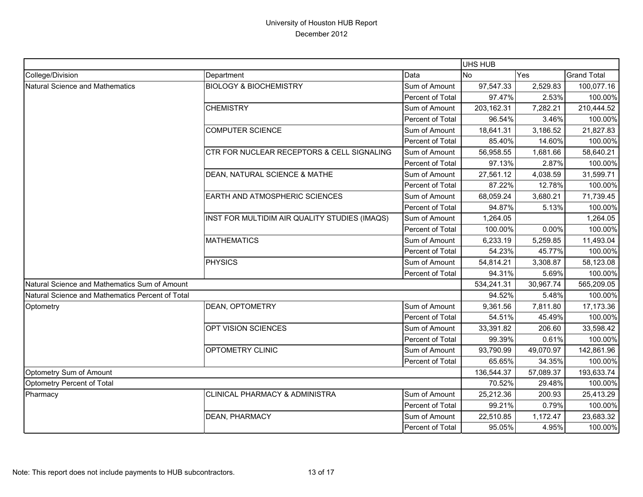|                                                  |                                               |                  | UHS HUB                                                                                     |            |                    |
|--------------------------------------------------|-----------------------------------------------|------------------|---------------------------------------------------------------------------------------------|------------|--------------------|
| College/Division                                 | Department                                    | Data             | <b>No</b>                                                                                   | Yes        | <b>Grand Total</b> |
| Natural Science and Mathematics                  | <b>BIOLOGY &amp; BIOCHEMISTRY</b>             | Sum of Amount    | 97,547.33                                                                                   | 2,529.83   | 100,077.16         |
|                                                  |                                               | Percent of Total | 97.47%                                                                                      | 2.53%      | 100.00%            |
|                                                  | <b>CHEMISTRY</b>                              | Sum of Amount    | 203,162.31                                                                                  | 7,282.21   | 210,444.52         |
|                                                  |                                               | Percent of Total | 96.54%                                                                                      | 3.46%      | 100.00%            |
|                                                  | <b>COMPUTER SCIENCE</b>                       | Sum of Amount    | 18,641.31                                                                                   | 3,186.52   | 21,827.83          |
|                                                  |                                               | Percent of Total | 85.40%                                                                                      | 14.60%     | 100.00%            |
|                                                  | CTR FOR NUCLEAR RECEPTORS & CELL SIGNALING    | Sum of Amount    | 56,958.55                                                                                   | 1,681.66   | 58,640.21          |
|                                                  |                                               | Percent of Total | 97.13%                                                                                      | 2.87%      | 100.00%            |
|                                                  | DEAN, NATURAL SCIENCE & MATHE                 | Sum of Amount    | 27,561.12                                                                                   | 4,038.59   | 31,599.71          |
|                                                  |                                               | Percent of Total | 87.22%                                                                                      | 12.78%     | 100.00%            |
|                                                  | EARTH AND ATMOSPHERIC SCIENCES                | Sum of Amount    | 68,059.24                                                                                   | 3,680.21   | 71,739.45          |
|                                                  |                                               | Percent of Total |                                                                                             |            | 100.00%            |
|                                                  | INST FOR MULTIDIM AIR QUALITY STUDIES (IMAQS) | Sum of Amount    | 94.87%<br>5.13%<br>1,264.05<br>100.00%<br>0.00%<br>6,233.19<br>5,259.85<br>54.23%<br>45.77% | 1,264.05   |                    |
|                                                  |                                               | Percent of Total |                                                                                             |            | 100.00%            |
|                                                  | <b>MATHEMATICS</b>                            | Sum of Amount    |                                                                                             |            | 11,493.04          |
|                                                  |                                               | Percent of Total |                                                                                             |            | 100.00%            |
|                                                  | <b>PHYSICS</b>                                | Sum of Amount    | 54,814.21                                                                                   | 3,308.87   | 58,123.08          |
|                                                  |                                               | Percent of Total | 94.31%                                                                                      | 5.69%      | 100.00%            |
| Natural Science and Mathematics Sum of Amount    |                                               |                  | 534,241.31                                                                                  | 30,967.74  | 565,209.05         |
| Natural Science and Mathematics Percent of Total |                                               |                  | 94.52%                                                                                      | 5.48%      | 100.00%            |
| Optometry                                        | <b>DEAN, OPTOMETRY</b>                        | Sum of Amount    | 9,361.56                                                                                    | 7,811.80   | 17,173.36          |
|                                                  |                                               | Percent of Total | 54.51%                                                                                      | 45.49%     | 100.00%            |
|                                                  | OPT VISION SCIENCES                           | Sum of Amount    | 33,391.82                                                                                   | 206.60     | 33,598.42          |
|                                                  |                                               | Percent of Total | 99.39%                                                                                      | 0.61%      | 100.00%            |
|                                                  | OPTOMETRY CLINIC                              | Sum of Amount    | 93,790.99                                                                                   | 49,070.97  | 142,861.96         |
|                                                  |                                               | Percent of Total | 65.65%                                                                                      | 34.35%     | 100.00%            |
| Optometry Sum of Amount                          |                                               | 136,544.37       | 57,089.37                                                                                   | 193,633.74 |                    |
| Optometry Percent of Total                       |                                               | 70.52%           | 29.48%                                                                                      | 100.00%    |                    |
| Pharmacy                                         | CLINICAL PHARMACY & ADMINISTRA                | Sum of Amount    | 25,212.36                                                                                   | 200.93     | 25,413.29          |
|                                                  |                                               | Percent of Total | 99.21%                                                                                      | 0.79%      | 100.00%            |
|                                                  | <b>DEAN, PHARMACY</b>                         | Sum of Amount    | 22,510.85                                                                                   | 1,172.47   | 23,683.32          |
|                                                  |                                               | Percent of Total | 95.05%                                                                                      | 4.95%      | 100.00%            |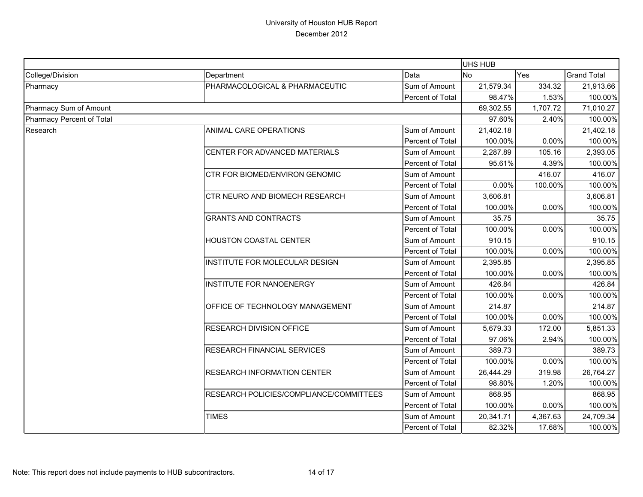|                           |                                         |                  |           | UHS HUB                                                                                                                                                               |                                                     |  |  |
|---------------------------|-----------------------------------------|------------------|-----------|-----------------------------------------------------------------------------------------------------------------------------------------------------------------------|-----------------------------------------------------|--|--|
| College/Division          | Department                              | Data             | <b>No</b> | Yes                                                                                                                                                                   | <b>Grand Total</b>                                  |  |  |
| Pharmacy                  | PHARMACOLOGICAL & PHARMACEUTIC          | Sum of Amount    | 21,579.34 | 334.32                                                                                                                                                                | 21,913.66                                           |  |  |
|                           |                                         | Percent of Total | 98.47%    |                                                                                                                                                                       | 100.00%                                             |  |  |
| Pharmacy Sum of Amount    |                                         | 69,302.55        | 1,707.72  | 71,010.27                                                                                                                                                             |                                                     |  |  |
| Pharmacy Percent of Total |                                         | 97.60%           |           | 100.00%                                                                                                                                                               |                                                     |  |  |
| Research                  | ANIMAL CARE OPERATIONS                  | Sum of Amount    | 21,402.18 |                                                                                                                                                                       | 21,402.18                                           |  |  |
|                           |                                         | Percent of Total | 100.00%   |                                                                                                                                                                       | 100.00%                                             |  |  |
|                           | CENTER FOR ADVANCED MATERIALS           | Sum of Amount    | 2,287.89  | 105.16                                                                                                                                                                | 2,393.05                                            |  |  |
|                           |                                         | Percent of Total | 95.61%    |                                                                                                                                                                       | 100.00%                                             |  |  |
|                           | CTR FOR BIOMED/ENVIRON GENOMIC          | Sum of Amount    |           | 416.07                                                                                                                                                                | 416.07                                              |  |  |
|                           |                                         | Percent of Total | 0.00%     |                                                                                                                                                                       | 100.00%                                             |  |  |
|                           | CTR NEURO AND BIOMECH RESEARCH          | Sum of Amount    | 3,606.81  |                                                                                                                                                                       | 3,606.81                                            |  |  |
|                           |                                         | Percent of Total | 100.00%   |                                                                                                                                                                       | 100.00%                                             |  |  |
|                           | <b>GRANTS AND CONTRACTS</b>             | Sum of Amount    | 35.75     | 1.53%<br>2.40%<br>0.00%<br>4.39%<br>100.00%<br>0.00%<br>0.00%<br>0.00%<br>0.00%<br>0.00%<br>0.00%<br>172.00<br>2.94%<br>0.00%<br>319.98<br>1.20%<br>0.00%<br>4,367.63 | 35.75                                               |  |  |
|                           |                                         | Percent of Total | 100.00%   |                                                                                                                                                                       |                                                     |  |  |
|                           | <b>HOUSTON COASTAL CENTER</b>           | Sum of Amount    | 910.15    |                                                                                                                                                                       | 100.00%<br>910.15<br>100.00%<br>2,395.85<br>100.00% |  |  |
|                           |                                         | Percent of Total | 100.00%   |                                                                                                                                                                       |                                                     |  |  |
|                           | INSTITUTE FOR MOLECULAR DESIGN          | Sum of Amount    | 2,395.85  |                                                                                                                                                                       | 426.84<br>100.00%                                   |  |  |
|                           |                                         | Percent of Total | 100.00%   |                                                                                                                                                                       |                                                     |  |  |
|                           | <b>INSTITUTE FOR NANOENERGY</b>         | Sum of Amount    | 426.84    |                                                                                                                                                                       |                                                     |  |  |
|                           |                                         | Percent of Total | 100.00%   |                                                                                                                                                                       |                                                     |  |  |
|                           | OFFICE OF TECHNOLOGY MANAGEMENT         | Sum of Amount    | 214.87    |                                                                                                                                                                       | 214.87                                              |  |  |
|                           |                                         | Percent of Total | 100.00%   |                                                                                                                                                                       | 100.00%                                             |  |  |
|                           | <b>RESEARCH DIVISION OFFICE</b>         | Sum of Amount    | 5,679.33  |                                                                                                                                                                       | 5,851.33                                            |  |  |
|                           |                                         | Percent of Total | 97.06%    |                                                                                                                                                                       | 100.00%                                             |  |  |
|                           | RESEARCH FINANCIAL SERVICES             | Sum of Amount    | 389.73    |                                                                                                                                                                       | 389.73                                              |  |  |
|                           |                                         | Percent of Total | 100.00%   |                                                                                                                                                                       | 100.00%                                             |  |  |
|                           | <b>RESEARCH INFORMATION CENTER</b>      | Sum of Amount    | 26,444.29 |                                                                                                                                                                       | 26,764.27                                           |  |  |
|                           |                                         | Percent of Total | 98.80%    |                                                                                                                                                                       | 100.00%                                             |  |  |
|                           | RESEARCH POLICIES/COMPLIANCE/COMMITTEES | Sum of Amount    | 868.95    |                                                                                                                                                                       | 868.95                                              |  |  |
|                           |                                         | Percent of Total | 100.00%   |                                                                                                                                                                       | 100.00%                                             |  |  |
|                           | <b>TIMES</b>                            | Sum of Amount    | 20,341.71 |                                                                                                                                                                       | 24,709.34                                           |  |  |
|                           |                                         | Percent of Total | 82.32%    | 17.68%                                                                                                                                                                | 100.00%                                             |  |  |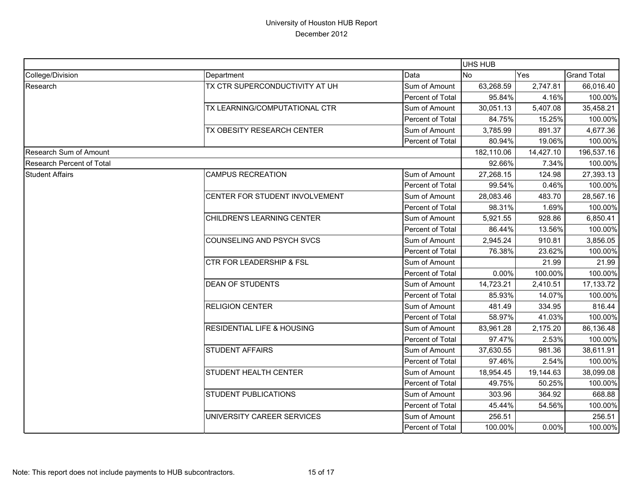|                                  |                                       |                  |            | UHS HUB   |                    |  |  |
|----------------------------------|---------------------------------------|------------------|------------|-----------|--------------------|--|--|
| College/Division                 | Department                            | Data             | <b>INo</b> | Yes       | <b>Grand Total</b> |  |  |
| Research                         | TX CTR SUPERCONDUCTIVITY AT UH        | Sum of Amount    | 63,268.59  | 2,747.81  | 66,016.40          |  |  |
|                                  |                                       | Percent of Total | 95.84%     | 4.16%     | 100.00%            |  |  |
|                                  | TX LEARNING/COMPUTATIONAL CTR         | Sum of Amount    | 30,051.13  | 5,407.08  | 35,458.21          |  |  |
|                                  |                                       | Percent of Total | 84.75%     | 15.25%    | 100.00%            |  |  |
|                                  | TX OBESITY RESEARCH CENTER            | Sum of Amount    | 3,785.99   | 891.37    | 4,677.36           |  |  |
|                                  |                                       | Percent of Total | 80.94%     | 19.06%    | 100.00%            |  |  |
| Research Sum of Amount           |                                       |                  | 182,110.06 | 14,427.10 | 196,537.16         |  |  |
| <b>Research Percent of Total</b> |                                       |                  | 92.66%     | 7.34%     | 100.00%            |  |  |
| <b>Student Affairs</b>           | <b>CAMPUS RECREATION</b>              | Sum of Amount    | 27,268.15  | 124.98    | 27,393.13          |  |  |
|                                  |                                       | Percent of Total | 99.54%     | 0.46%     | 100.00%            |  |  |
|                                  | CENTER FOR STUDENT INVOLVEMENT        | Sum of Amount    | 28,083.46  | 483.70    | 28,567.16          |  |  |
|                                  |                                       | Percent of Total | 98.31%     | 1.69%     | 100.00%            |  |  |
|                                  | CHILDREN'S LEARNING CENTER            | Sum of Amount    | 5,921.55   | 928.86    | 6,850.41           |  |  |
|                                  |                                       | Percent of Total | 86.44%     | 13.56%    | 100.00%            |  |  |
|                                  | <b>COUNSELING AND PSYCH SVCS</b>      | Sum of Amount    | 2,945.24   | 910.81    | 3,856.05           |  |  |
|                                  |                                       | Percent of Total | 76.38%     | 23.62%    | 100.00%            |  |  |
|                                  | <b>CTR FOR LEADERSHIP &amp; FSL</b>   | Sum of Amount    |            | 21.99     | 21.99              |  |  |
|                                  |                                       | Percent of Total | 0.00%      | 100.00%   | 100.00%            |  |  |
|                                  | <b>DEAN OF STUDENTS</b>               | Sum of Amount    | 14,723.21  | 2,410.51  | 17,133.72          |  |  |
|                                  |                                       | Percent of Total | 85.93%     | 14.07%    | 100.00%            |  |  |
|                                  | <b>RELIGION CENTER</b>                | Sum of Amount    | 481.49     | 334.95    | 816.44             |  |  |
|                                  |                                       | Percent of Total | 58.97%     | 41.03%    | 100.00%            |  |  |
|                                  | <b>RESIDENTIAL LIFE &amp; HOUSING</b> | Sum of Amount    | 83,961.28  | 2,175.20  | 86,136.48          |  |  |
|                                  |                                       | Percent of Total | 97.47%     | 2.53%     | 100.00%            |  |  |
|                                  | <b>STUDENT AFFAIRS</b>                | Sum of Amount    | 37,630.55  | 981.36    | 38,611.91          |  |  |
|                                  |                                       | Percent of Total | 97.46%     | 2.54%     | 100.00%            |  |  |
|                                  | <b>STUDENT HEALTH CENTER</b>          | Sum of Amount    | 18,954.45  | 19,144.63 | 38,099.08          |  |  |
|                                  |                                       | Percent of Total | 49.75%     | 50.25%    | 100.00%            |  |  |
|                                  | <b>STUDENT PUBLICATIONS</b>           | Sum of Amount    | 303.96     | 364.92    | 668.88             |  |  |
|                                  |                                       | Percent of Total | 45.44%     | 54.56%    | 100.00%            |  |  |
|                                  | UNIVERSITY CAREER SERVICES            | Sum of Amount    | 256.51     |           | 256.51             |  |  |
|                                  |                                       | Percent of Total | 100.00%    | 0.00%     | 100.00%            |  |  |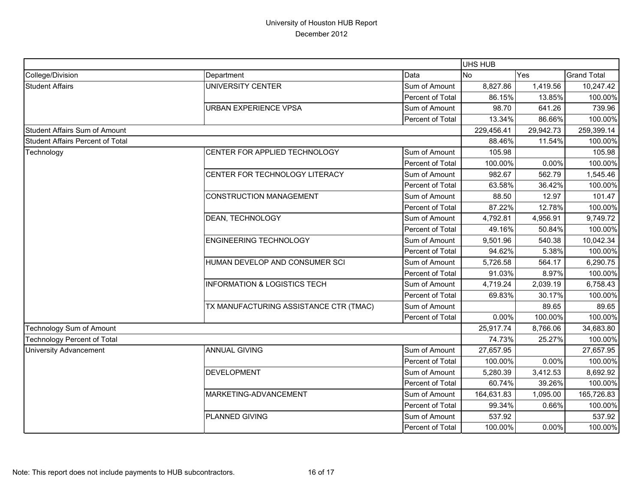|                                         |                                         |                  | UHS HUB    |           |                    |
|-----------------------------------------|-----------------------------------------|------------------|------------|-----------|--------------------|
| College/Division                        | Department                              | Data             | <b>No</b>  | Yes       | <b>Grand Total</b> |
| <b>Student Affairs</b>                  | UNIVERSITY CENTER                       | Sum of Amount    | 8,827.86   | 1,419.56  | 10,247.42          |
|                                         |                                         | Percent of Total | 86.15%     | 13.85%    | 100.00%            |
|                                         | <b>URBAN EXPERIENCE VPSA</b>            | Sum of Amount    | 98.70      | 641.26    | 739.96             |
|                                         |                                         | Percent of Total | 13.34%     | 86.66%    | 100.00%            |
| <b>Student Affairs Sum of Amount</b>    |                                         |                  | 229,456.41 | 29,942.73 | 259,399.14         |
| <b>Student Affairs Percent of Total</b> |                                         |                  | 88.46%     | 11.54%    | 100.00%            |
| Technology                              | CENTER FOR APPLIED TECHNOLOGY           | Sum of Amount    | 105.98     |           | 105.98             |
|                                         |                                         | Percent of Total | 100.00%    | 0.00%     | 100.00%            |
|                                         | CENTER FOR TECHNOLOGY LITERACY          | Sum of Amount    | 982.67     | 562.79    | 1,545.46           |
|                                         |                                         | Percent of Total | 63.58%     | 36.42%    | 100.00%            |
|                                         | <b>CONSTRUCTION MANAGEMENT</b>          | Sum of Amount    | 88.50      | 12.97     | 101.47             |
|                                         |                                         | Percent of Total | 87.22%     | 12.78%    | 100.00%            |
|                                         | DEAN, TECHNOLOGY                        | Sum of Amount    | 4,792.81   | 4,956.91  | 9,749.72           |
|                                         |                                         | Percent of Total | 49.16%     | 50.84%    | 100.00%            |
|                                         | <b>ENGINEERING TECHNOLOGY</b>           | Sum of Amount    | 9,501.96   | 540.38    | 10,042.34          |
|                                         |                                         | Percent of Total | 94.62%     | 5.38%     | 100.00%            |
|                                         | HUMAN DEVELOP AND CONSUMER SCI          | Sum of Amount    | 5,726.58   | 564.17    | 6,290.75           |
|                                         |                                         | Percent of Total | 91.03%     | 8.97%     | 100.00%            |
|                                         | <b>INFORMATION &amp; LOGISTICS TECH</b> | Sum of Amount    | 4,719.24   | 2,039.19  | 6,758.43           |
|                                         |                                         | Percent of Total | 69.83%     | 30.17%    | 100.00%            |
|                                         | TX MANUFACTURING ASSISTANCE CTR (TMAC)  | Sum of Amount    |            | 89.65     | 89.65              |
|                                         |                                         | Percent of Total | 0.00%      | 100.00%   | 100.00%            |
| Technology Sum of Amount                |                                         |                  | 25,917.74  | 8,766.06  | 34,683.80          |
| <b>Technology Percent of Total</b>      |                                         |                  | 74.73%     | 25.27%    | 100.00%            |
| <b>University Advancement</b>           | <b>ANNUAL GIVING</b>                    | Sum of Amount    | 27,657.95  |           | 27,657.95          |
|                                         |                                         | Percent of Total | 100.00%    | 0.00%     | 100.00%            |
|                                         | <b>DEVELOPMENT</b>                      | Sum of Amount    | 5,280.39   | 3,412.53  | 8,692.92           |
|                                         |                                         | Percent of Total | 60.74%     | 39.26%    | 100.00%            |
|                                         | MARKETING-ADVANCEMENT                   | Sum of Amount    | 164,631.83 | 1,095.00  | 165,726.83         |
|                                         |                                         | Percent of Total | 99.34%     | 0.66%     | 100.00%            |
|                                         | PLANNED GIVING                          | Sum of Amount    | 537.92     |           | 537.92             |
|                                         |                                         | Percent of Total | 100.00%    | 0.00%     | 100.00%            |